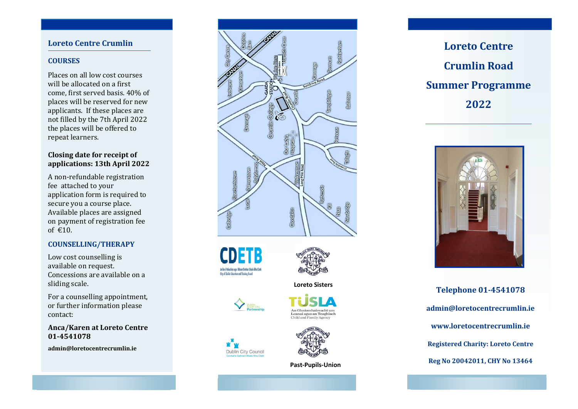## **Loreto Centre Crumlin**

### **COURSES**

Places on all low cost courses will be allocated on a first come, first served basis. 40% of places will be reserved for new applicants. If these places are not filled by the 7th April 2022 the places will be offered to repeat learners.

### **Closing date for receipt of applications: 13th April 2022**

A non-refundable registration fee attached to your application form is required to secure you a course place. Available places are assigned on payment of registration fee of  $\epsilon$ 10.

### **COUNSELLING/THERAPY**

Low cost counselling is available on request. Concessions are available on a sliding scale.

For a counselling appointment, or further information please contact:

**Anca/Karen at Loreto Centre 01-4541078**

**admin@loretocentrecrumlin.ie**





### **Loreto Sisters**







eanaí agus an Teaghlach

 **Past-Pupils-Union**





**Telephone 01-4541078 admin@loretocentrecrumlin.ie www.loretocentrecrumlin.ie Registered Charity: Loreto Centre Reg No 20042011, CHY No 13464**